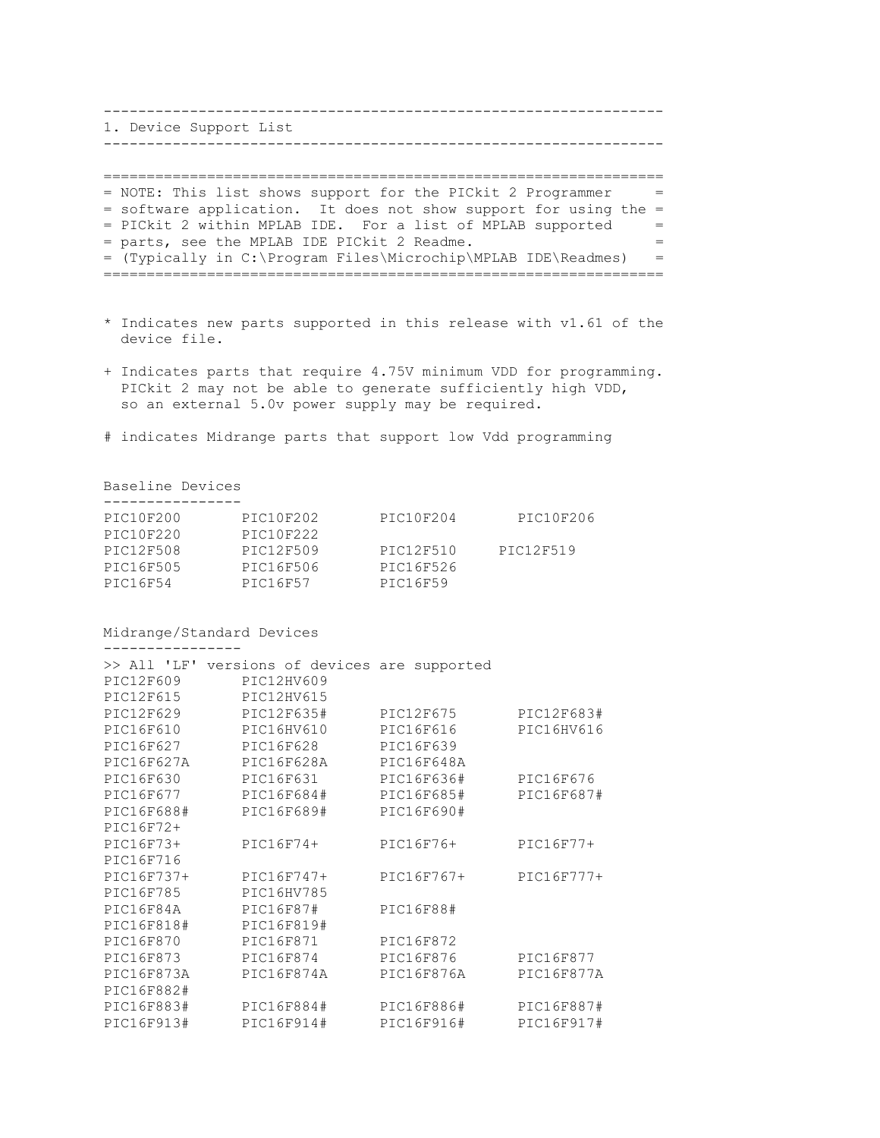1. Device Support List ----------------------------------------------------------------- ================================================================= = NOTE: This list shows support for the PICkit 2 Programmer = = software application. It does not show support for using the = = PICkit 2 within MPLAB IDE. For a list of MPLAB supported = = parts, see the MPLAB IDE PICkit 2 Readme. = =

-----------------------------------------------------------------

- = (Typically in C:\Program Files\Microchip\MPLAB IDE\Readmes) = =================================================================
- \* Indicates new parts supported in this release with v1.61 of the device file.
- + Indicates parts that require 4.75V minimum VDD for programming. PICkit 2 may not be able to generate sufficiently high VDD, so an external 5.0v power supply may be required.
- # indicates Midrange parts that support low Vdd programming

Baseline Devices ----------------

| PIC10F202 | PIC10F204 | PIC10F206 |
|-----------|-----------|-----------|
|           |           |           |
|           |           |           |
| PIC12F509 | PTC12F510 | PTC12F519 |
| PIC16F506 | PIC16F526 |           |
| PTC16F57  | PIC16F59  |           |
|           | PTC10F222 |           |

Midrange/Standard Devices

----------------

| $>>$ All 'LF' | versions of devices are supported |            |             |
|---------------|-----------------------------------|------------|-------------|
| PIC12F609     | PIC12HV609                        |            |             |
| PIC12F615     | PIC12HV615                        |            |             |
| PIC12F629     | PIC12F635#                        | PIC12F675  | PIC12F683#  |
| PIC16F610     | PIC16HV610                        | PIC16F616  | PIC16HV616  |
| PIC16F627     | PIC16F628                         | PIC16F639  |             |
| PIC16F627A    | PIC16F628A                        | PIC16F648A |             |
| PIC16F630     | PIC16F631                         | PIC16F636# | PIC16F676   |
| PIC16F677     | PIC16F684#                        | PIC16F685# | PIC16F687#  |
| PIC16F688#    | PIC16F689#                        | PIC16F690# |             |
| PIC16F72+     |                                   |            |             |
| PIC16F73+     | $PIC16F74+$                       | PIC16F76+  | $PIC16F77+$ |
| PIC16F716     |                                   |            |             |
| PIC16F737+    | PIC16F747+                        | PIC16F767+ | PIC16F777+  |
| PIC16F785     | PIC16HV785                        |            |             |
| PIC16F84A     | PIC16F87#                         | PIC16F88#  |             |
| PIC16F818#    | PIC16F819#                        |            |             |
| PIC16F870     | PIC16F871                         | PIC16F872  |             |
| PIC16F873     | PIC16F874                         | PIC16F876  | PIC16F877   |
| PIC16F873A    | PIC16F874A                        | PIC16F876A | PIC16F877A  |
| PIC16F882#    |                                   |            |             |
| PIC16F883#    | PIC16F884#                        | PIC16F886# | PIC16F887#  |
| PIC16F913#    | PIC16F914#                        | PIC16F916# | PIC16F917#  |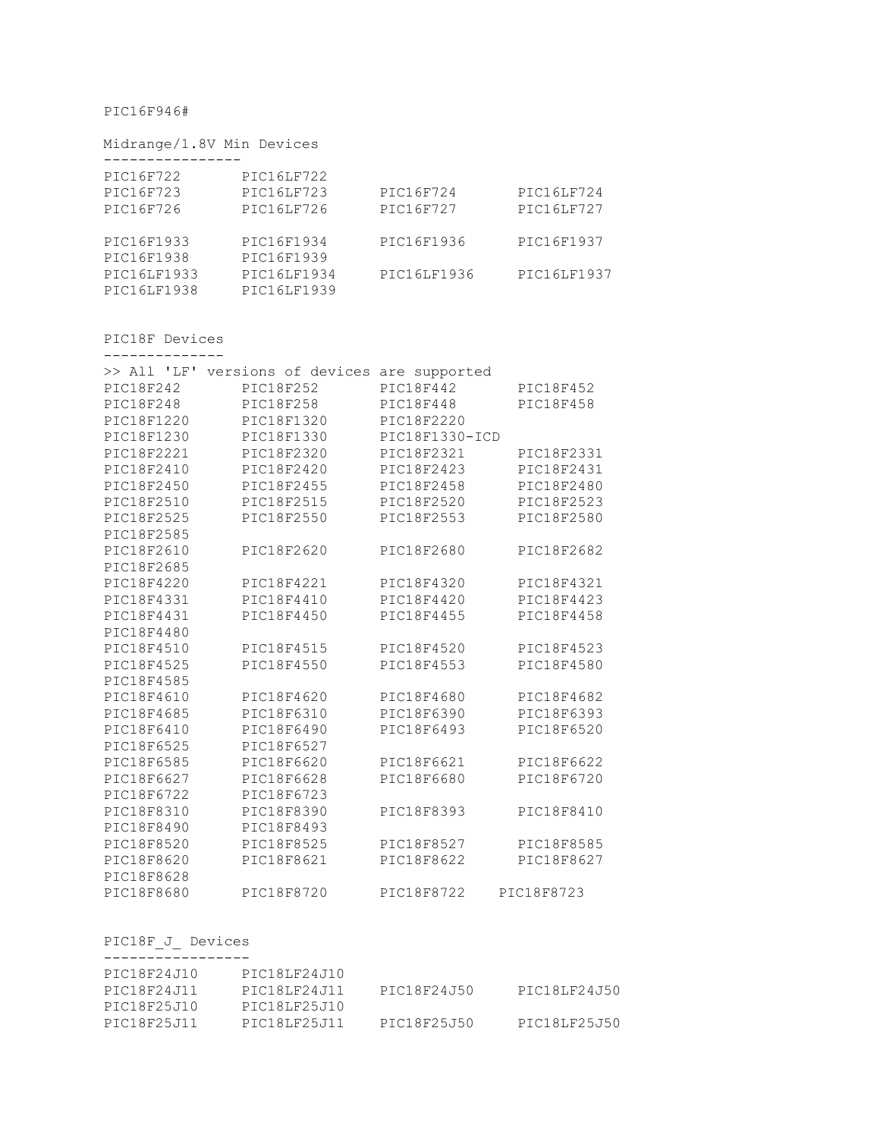## PIC16F946#

## Midrange/1.8V Min Devices

| PIC16F722   | PIC16LF722        |             |             |
|-------------|-------------------|-------------|-------------|
| PIC16F723   | <b>PIC16LF723</b> | PIC16F724   | PIC16LF724  |
| PIC16F726   | PIC16LF726        | PIC16F727   | PIC16LF727  |
|             |                   |             |             |
| PIC16F1933  | PIC16F1934        | PIC16F1936  | PIC16F1937  |
| PIC16F1938  | PIC16F1939        |             |             |
| PIC16LF1933 | PIC16LF1934       | PIC16LF1936 | PIC16LF1937 |
| PIC16LF1938 | PIC16LF1939       |             |             |

## PIC18F Devices --------------

| $>>$ All 'LF' | versions of devices | are supported  |            |
|---------------|---------------------|----------------|------------|
| PIC18F242     | PIC18F252           | PIC18F442      | PIC18F452  |
| PIC18F248     | PIC18F258           | PIC18F448      | PIC18F458  |
| PIC18F1220    | PIC18F1320          | PIC18F2220     |            |
| PIC18F1230    | PIC18F1330          | PIC18F1330-ICD |            |
|               |                     |                |            |
| PIC18F2221    | PIC18F2320          | PIC18F2321     | PIC18F2331 |
| PIC18F2410    | PIC18F2420          | PIC18F2423     | PIC18F2431 |
| PIC18F2450    | PIC18F2455          | PIC18F2458     | PIC18F2480 |
| PIC18F2510    | PIC18F2515          | PIC18F2520     | PIC18F2523 |
| PIC18F2525    | PIC18F2550          | PIC18F2553     | PIC18F2580 |
| PIC18F2585    |                     |                |            |
| PIC18F2610    | PIC18F2620          | PIC18F2680     | PIC18F2682 |
| PIC18F2685    |                     |                |            |
| PIC18F4220    | PIC18F4221          | PIC18F4320     | PIC18F4321 |
| PIC18F4331    | PIC18F4410          | PIC18F4420     | PIC18F4423 |
| PIC18F4431    | PIC18F4450          | PIC18F4455     | PIC18F4458 |
| PIC18F4480    |                     |                |            |
| PIC18F4510    | PIC18F4515          | PIC18F4520     | PIC18F4523 |
| PIC18F4525    | PIC18F4550          | PIC18F4553     | PIC18F4580 |
| PIC18F4585    |                     |                |            |
| PIC18F4610    | PIC18F4620          | PIC18F4680     | PIC18F4682 |
| PIC18F4685    | PIC18F6310          | PIC18F6390     | PIC18F6393 |
| PIC18F6410    | PIC18F6490          | PIC18F6493     | PIC18F6520 |
| PIC18F6525    | PIC18F6527          |                |            |
| PIC18F6585    | PIC18F6620          | PIC18F6621     | PIC18F6622 |
| PIC18F6627    | PIC18F6628          | PIC18F6680     | PIC18F6720 |
| PIC18F6722    | PIC18F6723          |                |            |
| PIC18F8310    | PIC18F8390          | PIC18F8393     | PIC18F8410 |
| PIC18F8490    | PIC18F8493          |                |            |
| PIC18F8520    | PIC18F8525          | PIC18F8527     | PIC18F8585 |
| PIC18F8620    | PIC18F8621          | PIC18F8622     | PIC18F8627 |
| PIC18F8628    |                     |                |            |
| PIC18F8680    | PIC18F8720          | PIC18F8722     | PIC18F8723 |

## PIC18F\_J\_ Devices

| PIC18F24J10 | PIC18LF24J10 |             |              |
|-------------|--------------|-------------|--------------|
| PIC18F24J11 | PTC18LF24J11 | PTC18F24J50 | PTC18LF24J50 |
| PIC18F25J10 | PIC18LF25J10 |             |              |
| PIC18F25J11 | PIC18LF25J11 | PIC18F25J50 | PIC18LF25J50 |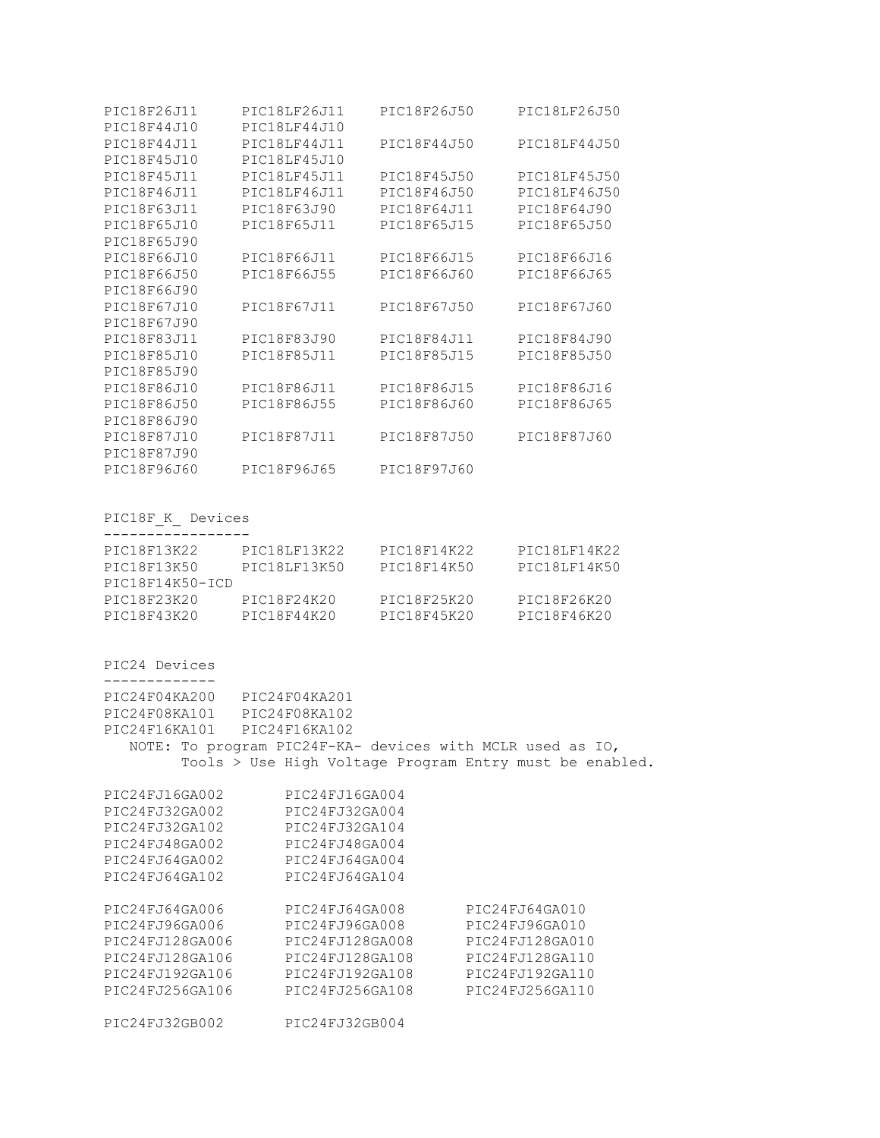| PIC18F26J11 | PIC18LF26J11 | PIC18F26J50 | PIC18LF26J50 |
|-------------|--------------|-------------|--------------|
| PIC18F44J10 | PIC18LF44J10 |             |              |
| PIC18F44J11 | PIC18LF44J11 | PIC18F44J50 | PIC18LF44J50 |
| PIC18F45J10 | PIC18LF45J10 |             |              |
| PIC18F45J11 | PIC18LF45J11 | PIC18F45J50 | PIC18LF45J50 |
| PIC18F46J11 | PIC18LF46J11 | PIC18F46J50 | PIC18LF46J50 |
| PIC18F63J11 | PIC18F63J90  | PIC18F64J11 | PIC18F64J90  |
| PIC18F65J10 | PIC18F65J11  | PIC18F65J15 | PIC18F65J50  |
| PIC18F65J90 |              |             |              |
| PIC18F66J10 | PIC18F66J11  | PIC18F66J15 | PIC18F66J16  |
| PIC18F66J50 | PIC18F66J55  | PIC18F66J60 | PIC18F66J65  |
| PIC18F66J90 |              |             |              |
| PIC18F67J10 | PIC18F67J11  | PIC18F67J50 | PIC18F67J60  |
| PIC18F67J90 |              |             |              |
| PIC18F83J11 | PIC18F83J90  | PIC18F84J11 | PIC18F84J90  |
| PIC18F85J10 | PIC18F85J11  | PIC18F85J15 | PIC18F85J50  |
| PIC18F85J90 |              |             |              |
| PIC18F86J10 | PIC18F86J11  | PIC18F86J15 | PIC18F86J16  |
| PIC18F86J50 | PIC18F86J55  | PIC18F86J60 | PIC18F86J65  |
| PIC18F86J90 |              |             |              |
| PIC18F87J10 | PIC18F87J11  | PIC18F87J50 | PIC18F87J60  |
| PIC18F87J90 |              |             |              |
| PIC18F96J60 | PIC18F96J65  | PIC18F97J60 |              |

PIC18F\_K\_ Devices

| PIC18F13K22     | PIC18LF13K22 | PIC18F14K22 | PIC18LF14K22 |
|-----------------|--------------|-------------|--------------|
| PIC18F13K50     | PTC18LF13K50 | PTC18F14K50 | PIC18LF14K50 |
| PIC18F14K50-ICD |              |             |              |
| PIC18F23K20     | PIC18F24K20  | PTC18F25K20 | PIC18F26K20  |
| PIC18F43K20     | PTC18F44K20  | PTC18F45K20 | PTC18F46K20  |

PIC24 Devices ------------- PIC24F04KA200 PIC24F04KA201 PIC24F08KA101 PIC24F08KA102 PIC24F16KA101 PIC24F16KA102 NOTE: To program PIC24F-KA- devices with MCLR used as IO, Tools > Use High Voltage Program Entry must be enabled.

| PIC24FJ16GA002<br>PIC24FJ32GA002<br>PIC24FJ32GA102<br>PIC24FJ48GA002<br>PIC24FJ64GA002<br>PIC24FJ64GA102     | PIC24FJ16GA004<br>PIC24FJ32GA004<br>PIC24FJ32GA104<br>PIC24FJ48GA004<br>PIC24FJ64GA004<br>PIC24FJ64GA104     |                                                                                                              |
|--------------------------------------------------------------------------------------------------------------|--------------------------------------------------------------------------------------------------------------|--------------------------------------------------------------------------------------------------------------|
| PIC24FJ64GA006<br>PIC24FJ96GA006<br>PIC24FJ128GA006<br>PIC24FJ128GA106<br>PIC24FJ192GA106<br>PIC24FJ256GA106 | PIC24FJ64GA008<br>PIC24FJ96GA008<br>PIC24FJ128GA008<br>PIC24FJ128GA108<br>PIC24FJ192GA108<br>PIC24FJ256GA108 | PIC24FJ64GA010<br>PIC24FJ96GA010<br>PIC24FJ128GA010<br>PIC24FJ128GA110<br>PIC24FJ192GA110<br>PIC24FJ256GA110 |
| PIC24FJ32GB002                                                                                               | PIC24FJ32GB004                                                                                               |                                                                                                              |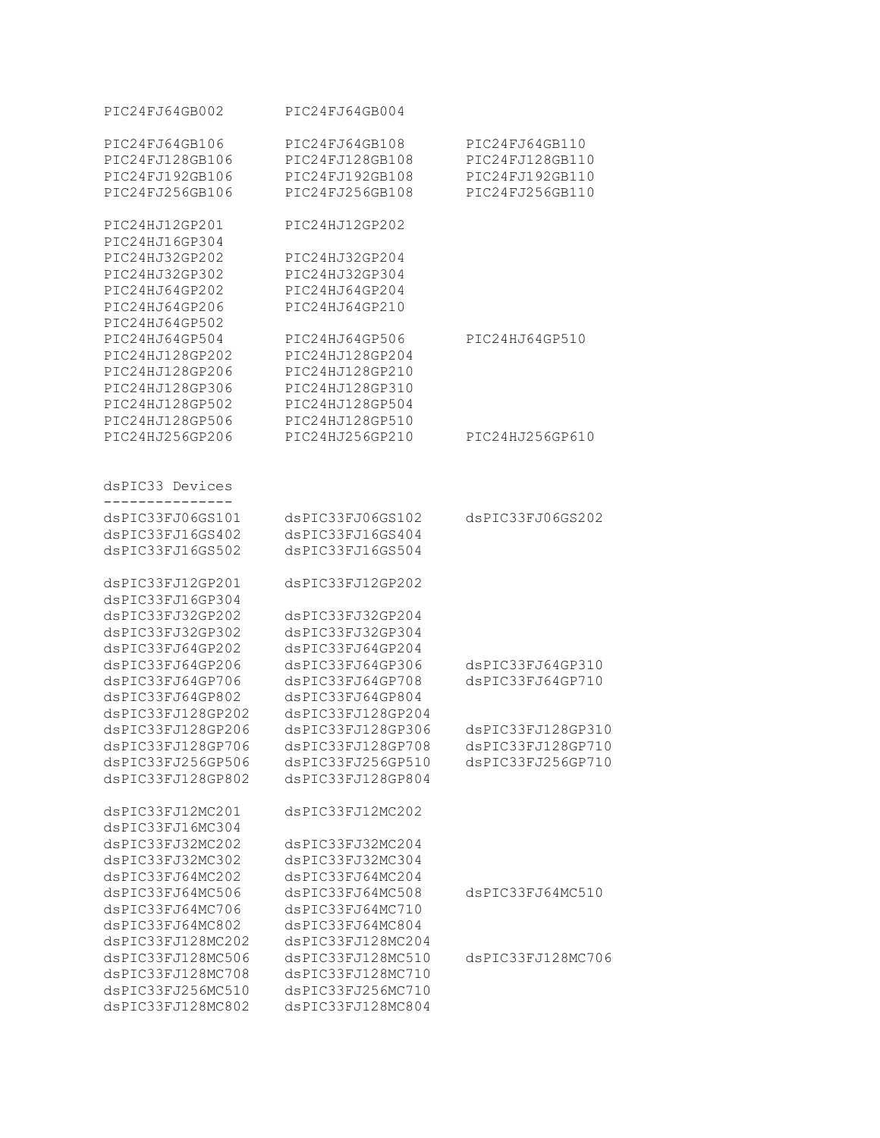| PIC24FJ64GB002    | PIC24FJ64GB004    |                   |
|-------------------|-------------------|-------------------|
| PIC24FJ64GB106    | PIC24FJ64GB108    | PIC24FJ64GB110    |
| PIC24FJ128GB106   | PIC24FJ128GB108   | PIC24FJ128GB110   |
| PIC24FJ192GB106   | PIC24FJ192GB108   | PIC24FJ192GB110   |
| PIC24FJ256GB106   | PIC24FJ256GB108   | PIC24FJ256GB110   |
| PIC24HJ12GP201    | PIC24HJ12GP202    |                   |
| PIC24HJ16GP304    |                   |                   |
| PIC24HJ32GP202    | PIC24HJ32GP204    |                   |
| PIC24HJ32GP302    | PIC24HJ32GP304    |                   |
| PIC24HJ64GP202    | PIC24HJ64GP204    |                   |
| PIC24HJ64GP206    | PIC24HJ64GP210    |                   |
| PIC24HJ64GP502    |                   |                   |
| PIC24HJ64GP504    | PIC24HJ64GP506    | PIC24HJ64GP510    |
| PIC24HJ128GP202   | PIC24HJ128GP204   |                   |
| PIC24HJ128GP206   | PIC24HJ128GP210   |                   |
| PIC24HJ128GP306   | PIC24HJ128GP310   |                   |
| PIC24HJ128GP502   | PIC24HJ128GP504   |                   |
| PIC24HJ128GP506   | PIC24HJ128GP510   |                   |
| PIC24HJ256GP206   | PIC24HJ256GP210   | PIC24HJ256GP610   |
|                   |                   |                   |
| dsPIC33 Devices   |                   |                   |
| dsPIC33FJ06GS101  | dsPIC33FJ06GS102  | dsPIC33FJ06GS202  |
| dsPIC33FJ16GS402  | dsPIC33FJ16GS404  |                   |
| dsPIC33FJ16GS502  | dsPIC33FJ16GS504  |                   |
|                   |                   |                   |
| dsPIC33FJ12GP201  | dsPIC33FJ12GP202  |                   |
| dsPIC33FJ16GP304  |                   |                   |
| dsPIC33FJ32GP202  | dsPIC33FJ32GP204  |                   |
| dsPIC33FJ32GP302  | dsPIC33FJ32GP304  |                   |
| dsPIC33FJ64GP202  | dsPIC33FJ64GP204  |                   |
| dsPIC33FJ64GP206  | dsPIC33FJ64GP306  | dsPIC33FJ64GP310  |
| dsPIC33FJ64GP706  | dsPIC33FJ64GP708  | dsPIC33FJ64GP710  |
| dsPIC33FJ64GP802  | dsPIC33FJ64GP804  |                   |
| dsPIC33FJ128GP202 | dsPIC33FJ128GP204 |                   |
| dsPIC33FJ128GP206 | dsPIC33FJ128GP306 | dsPIC33FJ128GP310 |
| dsPIC33FJ128GP706 | dsPIC33FJ128GP708 | dsPIC33FJ128GP710 |
| dsPIC33FJ256GP506 | dsPIC33FJ256GP510 | dsPIC33FJ256GP710 |
| dsPIC33FJ128GP802 | dsPIC33FJ128GP804 |                   |
| dsPIC33FJ12MC201  | dsPIC33FJ12MC202  |                   |
| dsPIC33FJ16MC304  |                   |                   |
| dsPIC33FJ32MC202  | dsPIC33FJ32MC204  |                   |
| dsPIC33FJ32MC302  | dsPIC33FJ32MC304  |                   |
| dsPIC33FJ64MC202  | dsPIC33FJ64MC204  |                   |
| dsPIC33FJ64MC506  | dsPIC33FJ64MC508  | dsPIC33FJ64MC510  |
| dsPIC33FJ64MC706  | dsPIC33FJ64MC710  |                   |
| dsPIC33FJ64MC802  | dsPIC33FJ64MC804  |                   |
| dsPIC33FJ128MC202 | dsPIC33FJ128MC204 |                   |
| dsPIC33FJ128MC506 | dsPIC33FJ128MC510 | dsPIC33FJ128MC706 |
| dsPIC33FJ128MC708 | dsPIC33FJ128MC710 |                   |
| dsPIC33FJ256MC510 | dsPIC33FJ256MC710 |                   |
| dsPIC33FJ128MC802 | dsPIC33FJ128MC804 |                   |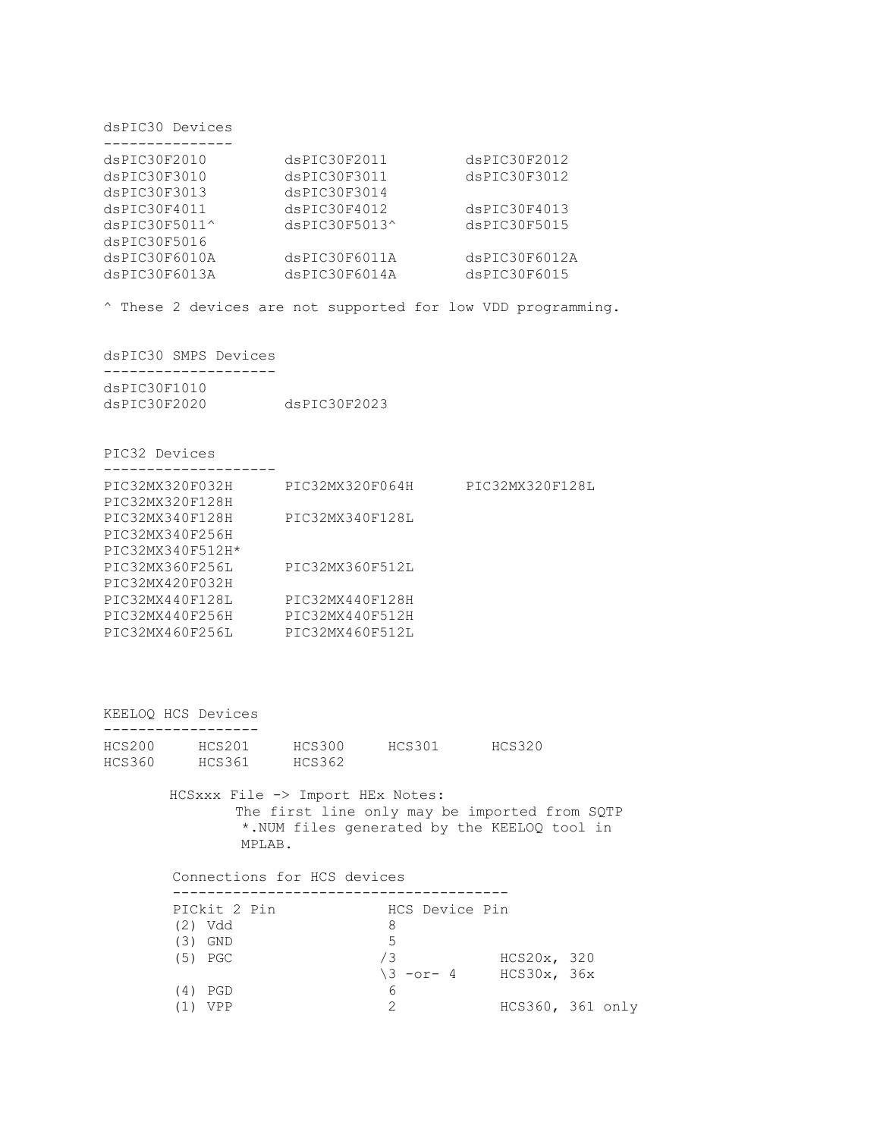dsPIC30 Devices

| dsPIC30F2010           | dsPIC30F2011           | dsPIC30F2012  |
|------------------------|------------------------|---------------|
| dsPIC30F3010           | dsPIC30F3011           | dsPIC30F3012  |
| dsPIC30F3013           | dsPIC30F3014           |               |
| dsPIC30F4011           | dsPIC30F4012           | dsPIC30F4013  |
| $dsPIC30F5011^{\circ}$ | $dsPIC30F5013^{\circ}$ | dsPIC30F5015  |
| dsPIC30F5016           |                        |               |
| dsPIC30F6010A          | dsPIC30F6011A          | dsPIC30F6012A |
| dsPIC30F6013A          | dsPIC30F6014A          | dsPIC30F6015  |
|                        |                        |               |

^ These 2 devices are not supported for low VDD programming.

dsPIC30 SMPS Devices --------------------

| dsPIC30F1010 |              |
|--------------|--------------|
| dsPIC30F2020 | dsPIC30F2023 |

PIC32 Devices

| PIC32MX320F032H  | PIC32MX320F064H | PIC32MX320F128L |
|------------------|-----------------|-----------------|
| PIC32MX320F128H  |                 |                 |
| PIC32MX340F128H  | PIC32MX340F128L |                 |
| PIC32MX340F256H  |                 |                 |
| PIC32MX340F512H* |                 |                 |
| PIC32MX360F256L  | PIC32MX360F512L |                 |
| PIC32MX420F032H  |                 |                 |
| PIC32MX440F128L  | PIC32MX440F128H |                 |
| PIC32MX440F256H  | PIC32MX440F512H |                 |
| PIC32MX460F256L  | PIC32MX460F512L |                 |

KEELOQ HCS Devices ------------------

| HCS200 | HCS201 | HCS300 | HCS301 | HCS320 |
|--------|--------|--------|--------|--------|
| HCS360 | HCS361 | HCS362 |        |        |

HCSxxx File -> Import HEx Notes: The first line only may be imported from SQTP \*.NUM files generated by the KEELOQ tool in MPLAB.

 Connections for HCS devices --------------------------------------- PICkit 2 Pin HCS Device Pin (2) Vdd 8 (2) Vdd<br>(3) GND 5  $(3)$  GND (5) PGC /3 HCS20x, 320  $\sqrt{3}$  -or- 4 HCS30x, 36x (4) PGD 6 (1) VPP 2 HCS360, 361 only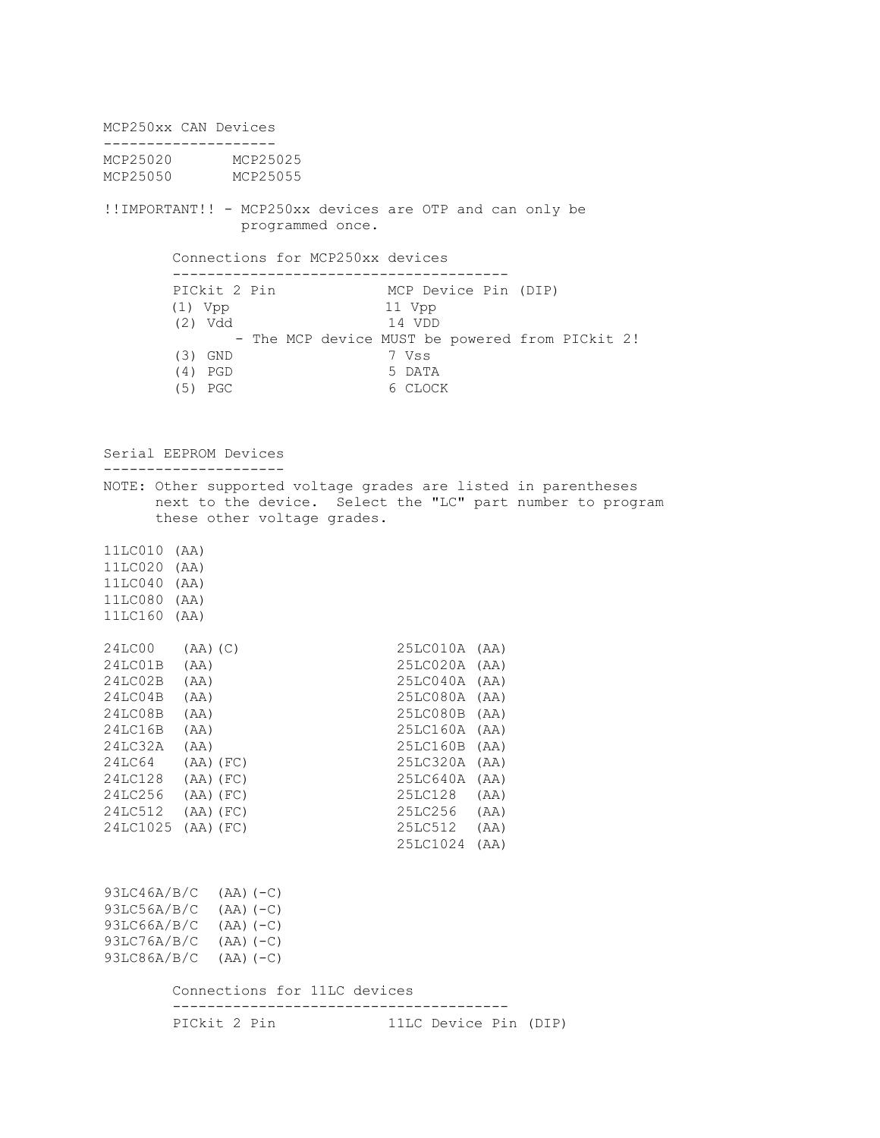MCP250xx CAN Devices -------------------- MCP25020 MCP25025 MCP25050 MCP25055 !!IMPORTANT!! - MCP250xx devices are OTP and can only be programmed once. Connections for MCP250xx devices --------------------------------------- PICkit 2 Pin MCP Device Pin (DIP) (1) Vpp 11 Vpp (2) Vdd 14 VDD - The MCP device MUST be powered from PICkit 2! (3) GND 7 Vss (4) PGD 5 DATA (5) PGC 6 CLOCK Serial EEPROM Devices --------------------- NOTE: Other supported voltage grades are listed in parentheses next to the device. Select the "LC" part number to program these other voltage grades. 11LC010 (AA) 11LC020 (AA) 11LC040 (AA) 11LC080 (AA) 11LC160 (AA) 24LC00 (AA)(C) 25LC010A (AA) 24LC01B (AA) 25LC020A (AA) 24LC02B (AA) 25LC040A (AA) 25LC040A (AA) 25LC080A (AA) 24LC08B (AA) 25LC080B (AA) 24LC16B (AA) 25LC160A (AA) 24LC32A (AA) 25LC160B (AA) 24LC64 (AA)(FC) 25LC320A (AA) 24LC128 (AA)(FC) 25LC640A (AA) 24LC256 (AA)(FC) 25LC128 (AA)  $24LC512$  (AA)(FC) 24LC1025 (AA)(FC) 25LC512 (AA) 25LC1024 (AA) 93LC46A/B/C (AA)(-C) 93LC56A/B/C (AA)(-C) 93LC66A/B/C (AA)(-C) 93LC76A/B/C (AA)(-C) 93LC86A/B/C (AA)(-C) Connections for 11LC devices --------------------------------------- PICkit 2 Pin 11LC Device Pin (DIP)